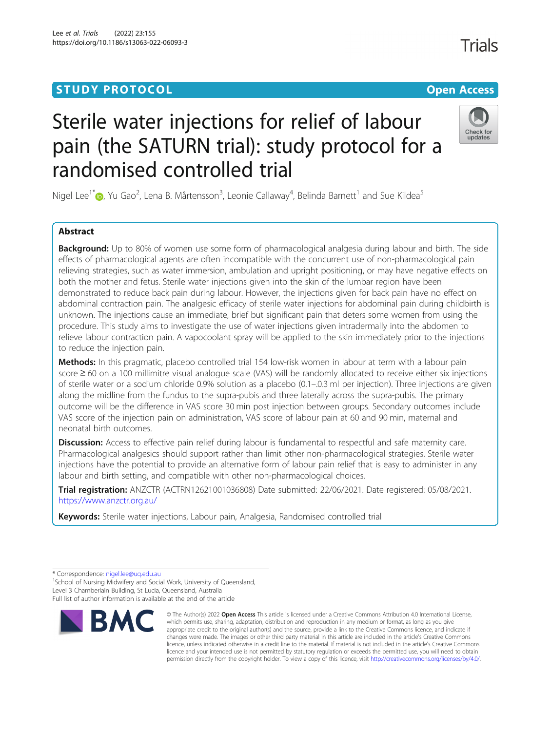# **STUDY PROTOCOL CONSUMING THE CONSUMING OPEN ACCESS**

# Sterile water injections for relief of labour pain (the SATURN trial): study protocol for a randomised controlled trial

Nigel Lee<sup>1\*</sup>®[,](http://orcid.org/0000-0002-7350-5574) Yu Gao<sup>2</sup>, Lena B. Mårtensson<sup>3</sup>, Leonie Callaway<sup>4</sup>, Belinda Barnett<sup>1</sup> and Sue Kildea<sup>5</sup>

## Abstract

Background: Up to 80% of women use some form of pharmacological analgesia during labour and birth. The side effects of pharmacological agents are often incompatible with the concurrent use of non-pharmacological pain relieving strategies, such as water immersion, ambulation and upright positioning, or may have negative effects on both the mother and fetus. Sterile water injections given into the skin of the lumbar region have been demonstrated to reduce back pain during labour. However, the injections given for back pain have no effect on abdominal contraction pain. The analgesic efficacy of sterile water injections for abdominal pain during childbirth is unknown. The injections cause an immediate, brief but significant pain that deters some women from using the procedure. This study aims to investigate the use of water injections given intradermally into the abdomen to relieve labour contraction pain. A vapocoolant spray will be applied to the skin immediately prior to the injections to reduce the injection pain.

Methods: In this pragmatic, placebo controlled trial 154 low-risk women in labour at term with a labour pain score ≥ 60 on a 100 millimitre visual analogue scale (VAS) will be randomly allocated to receive either six injections of sterile water or a sodium chloride 0.9% solution as a placebo (0.1–.0.3 ml per injection). Three injections are given along the midline from the fundus to the supra-pubis and three laterally across the supra-pubis. The primary outcome will be the difference in VAS score 30 min post injection between groups. Secondary outcomes include VAS score of the injection pain on administration, VAS score of labour pain at 60 and 90 min, maternal and neonatal birth outcomes.

Discussion: Access to effective pain relief during labour is fundamental to respectful and safe maternity care. Pharmacological analgesics should support rather than limit other non-pharmacological strategies. Sterile water injections have the potential to provide an alternative form of labour pain relief that is easy to administer in any labour and birth setting, and compatible with other non-pharmacological choices.

Trial registration: ANZCTR (ACTRN12621001036808) Date submitted: 22/06/2021. Date registered: 05/08/2021. <https://www.anzctr.org.au/>

Keywords: Sterile water injections, Labour pain, Analgesia, Randomised controlled trial

<sup>1</sup> School of Nursing Midwifery and Social Work, University of Queensland, Level 3 Chamberlain Building, St Lucia, Queensland, Australia Full list of author information is available at the end of the article





<sup>\*</sup> Correspondence: [nigel.lee@uq.edu.au](mailto:nigel.lee@uq.edu.au) <sup>1</sup>

**Trials** 

<sup>©</sup> The Author(s) 2022 Open Access This article is licensed under a Creative Commons Attribution 4.0 International License, which permits use, sharing, adaptation, distribution and reproduction in any medium or format, as long as you give appropriate credit to the original author(s) and the source, provide a link to the Creative Commons licence, and indicate if changes were made. The images or other third party material in this article are included in the article's Creative Commons licence, unless indicated otherwise in a credit line to the material. If material is not included in the article's Creative Commons licence and your intended use is not permitted by statutory regulation or exceeds the permitted use, you will need to obtain permission directly from the copyright holder. To view a copy of this licence, visit [http://creativecommons.org/licenses/by/4.0/.](http://creativecommons.org/licenses/by/4.0/)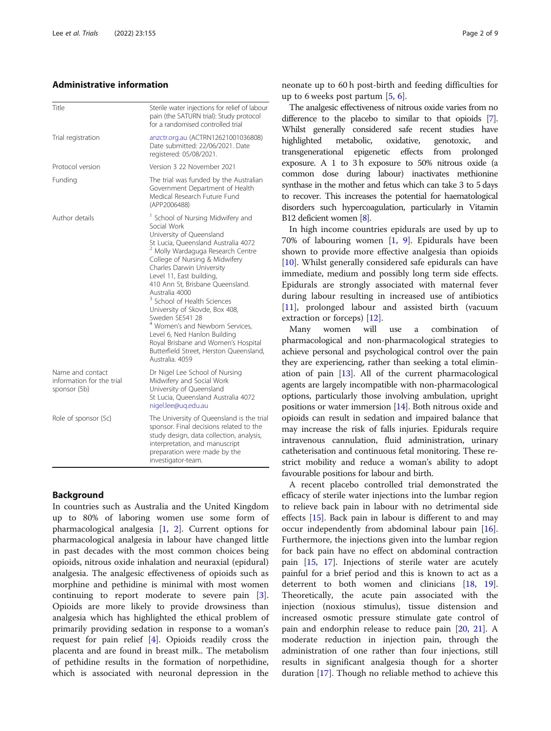#### Administrative information

| Title                                                         | Sterile water injections for relief of labour<br>pain (the SATURN trial): Study protocol<br>for a randomised controlled trial                                                                                                                                                                                                                                                                                                                                                                                                                                                                                     |  |  |
|---------------------------------------------------------------|-------------------------------------------------------------------------------------------------------------------------------------------------------------------------------------------------------------------------------------------------------------------------------------------------------------------------------------------------------------------------------------------------------------------------------------------------------------------------------------------------------------------------------------------------------------------------------------------------------------------|--|--|
| Trial registration                                            | anzctr.org.au (ACTRN12621001036808)<br>Date submitted: 22/06/2021. Date<br>reaistered: 05/08/2021.                                                                                                                                                                                                                                                                                                                                                                                                                                                                                                                |  |  |
| Protocol version                                              | Version 3 22 November 2021                                                                                                                                                                                                                                                                                                                                                                                                                                                                                                                                                                                        |  |  |
| Funding                                                       | The trial was funded by the Australian<br>Government Department of Health<br>Medical Research Future Fund<br>(APP2006488)                                                                                                                                                                                                                                                                                                                                                                                                                                                                                         |  |  |
| Author details                                                | <sup>1</sup> School of Nursing Midwifery and<br>Social Work<br>University of Queensland<br>St Lucia, Queensland Australia 4072<br><sup>2</sup> Molly Wardaguga Research Centre<br>College of Nursing & Midwifery<br>Charles Darwin University<br>Level 11, East building,<br>410 Ann St, Brisbane Queensland.<br>Australia 4000<br><sup>3</sup> School of Health Sciences<br>University of Skovde, Box 408,<br>Sweden SE541 28<br><sup>4</sup> Women's and Newborn Services,<br>Level 6, Ned Hanlon Building<br>Royal Brisbane and Women's Hospital<br>Butterfield Street, Herston Queensland,<br>Australia, 4059 |  |  |
| Name and contact<br>information for the trial<br>sponsor {5b} | Dr Nigel Lee School of Nursing<br>Midwifery and Social Work<br>University of Queensland<br>St Lucia, Queensland Australia 4072<br>nigel.lee@ug.edu.au                                                                                                                                                                                                                                                                                                                                                                                                                                                             |  |  |
| Role of sponsor {5c}                                          | The University of Queensland is the trial<br>sponsor. Final decisions related to the<br>study design, data collection, analysis,<br>interpretation, and manuscript<br>preparation were made by the<br>investigator-team.                                                                                                                                                                                                                                                                                                                                                                                          |  |  |

#### Background

In countries such as Australia and the United Kingdom up to 80% of laboring women use some form of pharmacological analgesia [\[1](#page-8-0), [2](#page-8-0)]. Current options for pharmacological analgesia in labour have changed little in past decades with the most common choices being opioids, nitrous oxide inhalation and neuraxial (epidural) analgesia. The analgesic effectiveness of opioids such as morphine and pethidine is minimal with most women continuing to report moderate to severe pain [\[3](#page-8-0)]. Opioids are more likely to provide drowsiness than analgesia which has highlighted the ethical problem of primarily providing sedation in response to a woman's request for pain relief [\[4](#page-8-0)]. Opioids readily cross the placenta and are found in breast milk.. The metabolism of pethidine results in the formation of norpethidine, which is associated with neuronal depression in the

neonate up to 60 h post-birth and feeding difficulties for up to 6 weeks post partum  $[5, 6]$  $[5, 6]$  $[5, 6]$  $[5, 6]$ .

The analgesic effectiveness of nitrous oxide varies from no difference to the placebo to similar to that opioids [\[7](#page-8-0)]. Whilst generally considered safe recent studies have highlighted metabolic, oxidative, genotoxic, and transgenerational epigenetic effects from prolonged exposure. A 1 to 3 h exposure to 50% nitrous oxide (a common dose during labour) inactivates methionine synthase in the mother and fetus which can take 3 to 5 days to recover. This increases the potential for haematological disorders such hypercoagulation, particularly in Vitamin B12 deficient women [\[8\]](#page-8-0).

In high income countries epidurals are used by up to 70% of labouring women [\[1](#page-8-0), [9\]](#page-8-0). Epidurals have been shown to provide more effective analgesia than opioids [[10\]](#page-8-0). Whilst generally considered safe epidurals can have immediate, medium and possibly long term side effects. Epidurals are strongly associated with maternal fever during labour resulting in increased use of antibiotics [[11\]](#page-8-0), prolonged labour and assisted birth (vacuum extraction or forceps) [\[12](#page-8-0)].

Many women will use a combination of pharmacological and non-pharmacological strategies to achieve personal and psychological control over the pain they are experiencing, rather than seeking a total elimination of pain [\[13\]](#page-8-0). All of the current pharmacological agents are largely incompatible with non-pharmacological options, particularly those involving ambulation, upright positions or water immersion [[14](#page-8-0)]. Both nitrous oxide and opioids can result in sedation and impaired balance that may increase the risk of falls injuries. Epidurals require intravenous cannulation, fluid administration, urinary catheterisation and continuous fetal monitoring. These restrict mobility and reduce a woman's ability to adopt favourable positions for labour and birth.

A recent placebo controlled trial demonstrated the efficacy of sterile water injections into the lumbar region to relieve back pain in labour with no detrimental side effects [\[15](#page-8-0)]. Back pain in labour is different to and may occur independently from abdominal labour pain [\[16](#page-8-0)]. Furthermore, the injections given into the lumbar region for back pain have no effect on abdominal contraction pain [[15,](#page-8-0) [17\]](#page-8-0). Injections of sterile water are acutely painful for a brief period and this is known to act as a deterrent to both women and clinicians [\[18](#page-8-0), [19](#page-8-0)]. Theoretically, the acute pain associated with the injection (noxious stimulus), tissue distension and increased osmotic pressure stimulate gate control of pain and endorphin release to reduce pain [\[20](#page-8-0), [21\]](#page-8-0). A moderate reduction in injection pain, through the administration of one rather than four injections, still results in significant analgesia though for a shorter duration [[17\]](#page-8-0). Though no reliable method to achieve this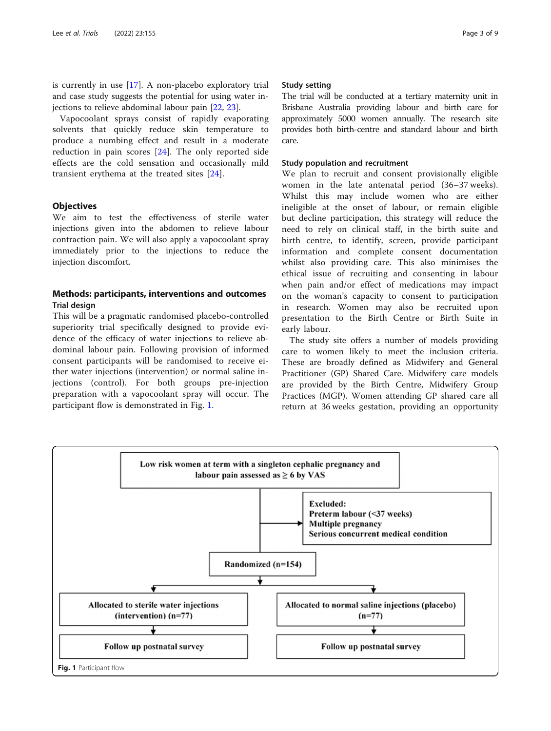is currently in use [[17\]](#page-8-0). A non-placebo exploratory trial and case study suggests the potential for using water injections to relieve abdominal labour pain [\[22](#page-8-0), [23](#page-8-0)].

Vapocoolant sprays consist of rapidly evaporating solvents that quickly reduce skin temperature to produce a numbing effect and result in a moderate reduction in pain scores [\[24](#page-8-0)]. The only reported side effects are the cold sensation and occasionally mild transient erythema at the treated sites [[24](#page-8-0)].

#### **Objectives**

We aim to test the effectiveness of sterile water injections given into the abdomen to relieve labour contraction pain. We will also apply a vapocoolant spray immediately prior to the injections to reduce the injection discomfort.

#### Methods: participants, interventions and outcomes Trial design

This will be a pragmatic randomised placebo-controlled superiority trial specifically designed to provide evidence of the efficacy of water injections to relieve abdominal labour pain. Following provision of informed consent participants will be randomised to receive either water injections (intervention) or normal saline injections (control). For both groups pre-injection preparation with a vapocoolant spray will occur. The participant flow is demonstrated in Fig. 1.

#### Study setting

The trial will be conducted at a tertiary maternity unit in Brisbane Australia providing labour and birth care for approximately 5000 women annually. The research site provides both birth-centre and standard labour and birth care.

#### Study population and recruitment

We plan to recruit and consent provisionally eligible women in the late antenatal period (36–37 weeks). Whilst this may include women who are either ineligible at the onset of labour, or remain eligible but decline participation, this strategy will reduce the need to rely on clinical staff, in the birth suite and birth centre, to identify, screen, provide participant information and complete consent documentation whilst also providing care. This also minimises the ethical issue of recruiting and consenting in labour when pain and/or effect of medications may impact on the woman's capacity to consent to participation in research. Women may also be recruited upon presentation to the Birth Centre or Birth Suite in early labour.

The study site offers a number of models providing care to women likely to meet the inclusion criteria. These are broadly defined as Midwifery and General Practitioner (GP) Shared Care. Midwifery care models are provided by the Birth Centre, Midwifery Group Practices (MGP). Women attending GP shared care all return at 36 weeks gestation, providing an opportunity

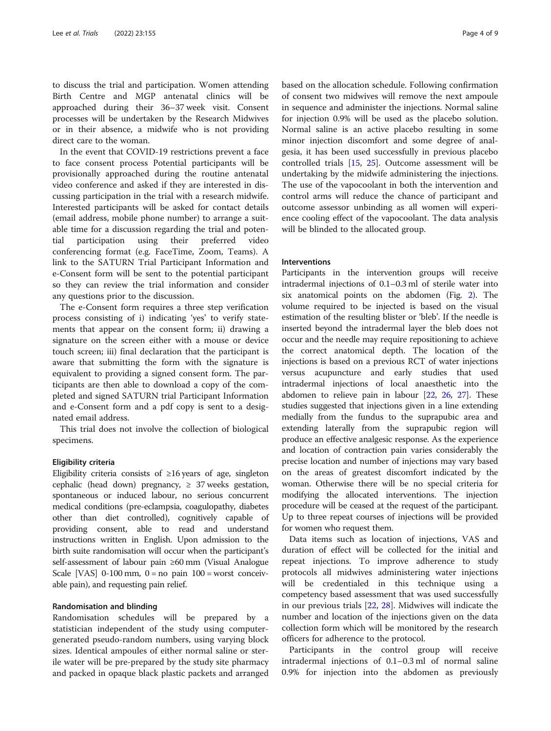to discuss the trial and participation. Women attending Birth Centre and MGP antenatal clinics will be approached during their 36–37 week visit. Consent processes will be undertaken by the Research Midwives or in their absence, a midwife who is not providing direct care to the woman.

In the event that COVID-19 restrictions prevent a face to face consent process Potential participants will be provisionally approached during the routine antenatal video conference and asked if they are interested in discussing participation in the trial with a research midwife. Interested participants will be asked for contact details (email address, mobile phone number) to arrange a suitable time for a discussion regarding the trial and potential participation using their preferred video conferencing format (e.g. FaceTime, Zoom, Teams). A link to the SATURN Trial Participant Information and e-Consent form will be sent to the potential participant so they can review the trial information and consider any questions prior to the discussion.

The e-Consent form requires a three step verification process consisting of i) indicating 'yes' to verify statements that appear on the consent form; ii) drawing a signature on the screen either with a mouse or device touch screen; iii) final declaration that the participant is aware that submitting the form with the signature is equivalent to providing a signed consent form. The participants are then able to download a copy of the completed and signed SATURN trial Participant Information and e-Consent form and a pdf copy is sent to a designated email address.

This trial does not involve the collection of biological specimens.

#### Eligibility criteria

Eligibility criteria consists of ≥16 years of age, singleton cephalic (head down) pregnancy,  $\geq$  37 weeks gestation, spontaneous or induced labour, no serious concurrent medical conditions (pre-eclampsia, coagulopathy, diabetes other than diet controlled), cognitively capable of providing consent, able to read and understand instructions written in English. Upon admission to the birth suite randomisation will occur when the participant's self-assessment of labour pain ≥60 mm (Visual Analogue Scale [VAS]  $0-100$  mm,  $0 =$  no pain  $100 =$  worst conceivable pain), and requesting pain relief.

#### Randomisation and blinding

Randomisation schedules will be prepared by a statistician independent of the study using computergenerated pseudo-random numbers, using varying block sizes. Identical ampoules of either normal saline or sterile water will be pre-prepared by the study site pharmacy and packed in opaque black plastic packets and arranged

based on the allocation schedule. Following confirmation of consent two midwives will remove the next ampoule in sequence and administer the injections. Normal saline for injection 0.9% will be used as the placebo solution. Normal saline is an active placebo resulting in some minor injection discomfort and some degree of analgesia, it has been used successfully in previous placebo controlled trials [[15](#page-8-0), [25](#page-8-0)]. Outcome assessment will be undertaking by the midwife administering the injections. The use of the vapocoolant in both the intervention and control arms will reduce the chance of participant and outcome assessor unbinding as all women will experience cooling effect of the vapocoolant. The data analysis will be blinded to the allocated group.

#### Interventions

Participants in the intervention groups will receive intradermal injections of 0.1–0.3 ml of sterile water into six anatomical points on the abdomen (Fig. [2\)](#page-4-0). The volume required to be injected is based on the visual estimation of the resulting blister or 'bleb'. If the needle is inserted beyond the intradermal layer the bleb does not occur and the needle may require repositioning to achieve the correct anatomical depth. The location of the injections is based on a previous RCT of water injections versus acupuncture and early studies that used intradermal injections of local anaesthetic into the abdomen to relieve pain in labour [[22](#page-8-0), [26](#page-8-0), [27](#page-8-0)]. These studies suggested that injections given in a line extending medially from the fundus to the suprapubic area and extending laterally from the suprapubic region will produce an effective analgesic response. As the experience and location of contraction pain varies considerably the precise location and number of injections may vary based on the areas of greatest discomfort indicated by the woman. Otherwise there will be no special criteria for modifying the allocated interventions. The injection procedure will be ceased at the request of the participant. Up to three repeat courses of injections will be provided for women who request them.

Data items such as location of injections, VAS and duration of effect will be collected for the initial and repeat injections. To improve adherence to study protocols all midwives administering water injections will be credentialed in this technique using a competency based assessment that was used successfully in our previous trials [\[22](#page-8-0), [28](#page-8-0)]. Midwives will indicate the number and location of the injections given on the data collection form which will be monitored by the research officers for adherence to the protocol.

Participants in the control group will receive intradermal injections of 0.1–0.3 ml of normal saline 0.9% for injection into the abdomen as previously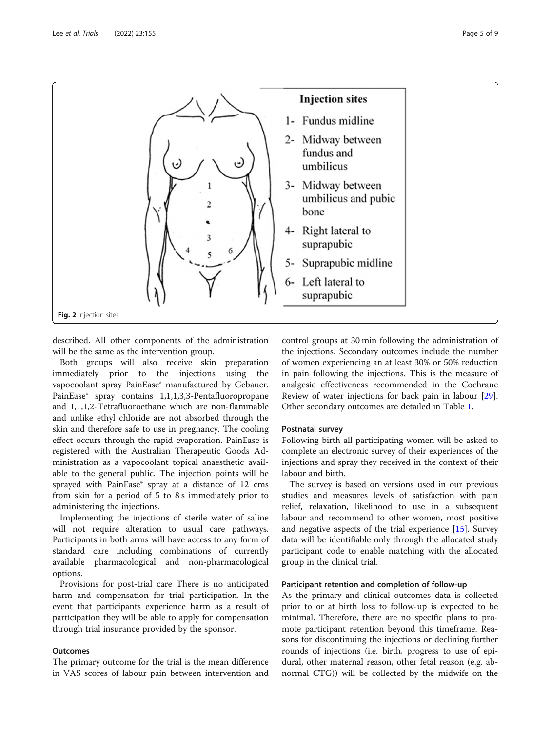<span id="page-4-0"></span>

described. All other components of the administration will be the same as the intervention group.

Both groups will also receive skin preparation immediately prior to the injections using the vapocoolant spray PainEase® manufactured by Gebauer. PainEase® spray contains 1,1,1,3,3-Pentafluoropropane and 1,1,1,2-Tetrafluoroethane which are non-flammable and unlike ethyl chloride are not absorbed through the skin and therefore safe to use in pregnancy. The cooling effect occurs through the rapid evaporation. PainEase is registered with the Australian Therapeutic Goods Administration as a vapocoolant topical anaesthetic available to the general public. The injection points will be sprayed with PainEase® spray at a distance of 12 cms from skin for a period of 5 to 8 s immediately prior to administering the injections.

Implementing the injections of sterile water of saline will not require alteration to usual care pathways. Participants in both arms will have access to any form of standard care including combinations of currently available pharmacological and non-pharmacological options.

Provisions for post-trial care There is no anticipated harm and compensation for trial participation. In the event that participants experience harm as a result of participation they will be able to apply for compensation through trial insurance provided by the sponsor.

#### **Outcomes**

The primary outcome for the trial is the mean difference in VAS scores of labour pain between intervention and control groups at 30 min following the administration of the injections. Secondary outcomes include the number of women experiencing an at least 30% or 50% reduction in pain following the injections. This is the measure of analgesic effectiveness recommended in the Cochrane Review of water injections for back pain in labour [\[29](#page-8-0)]. Other secondary outcomes are detailed in Table [1](#page-5-0).

#### Postnatal survey

Following birth all participating women will be asked to complete an electronic survey of their experiences of the injections and spray they received in the context of their labour and birth.

The survey is based on versions used in our previous studies and measures levels of satisfaction with pain relief, relaxation, likelihood to use in a subsequent labour and recommend to other women, most positive and negative aspects of the trial experience [\[15](#page-8-0)]. Survey data will be identifiable only through the allocated study participant code to enable matching with the allocated group in the clinical trial.

#### Participant retention and completion of follow-up

As the primary and clinical outcomes data is collected prior to or at birth loss to follow-up is expected to be minimal. Therefore, there are no specific plans to promote participant retention beyond this timeframe. Reasons for discontinuing the injections or declining further rounds of injections (i.e. birth, progress to use of epidural, other maternal reason, other fetal reason (e.g. abnormal CTG)) will be collected by the midwife on the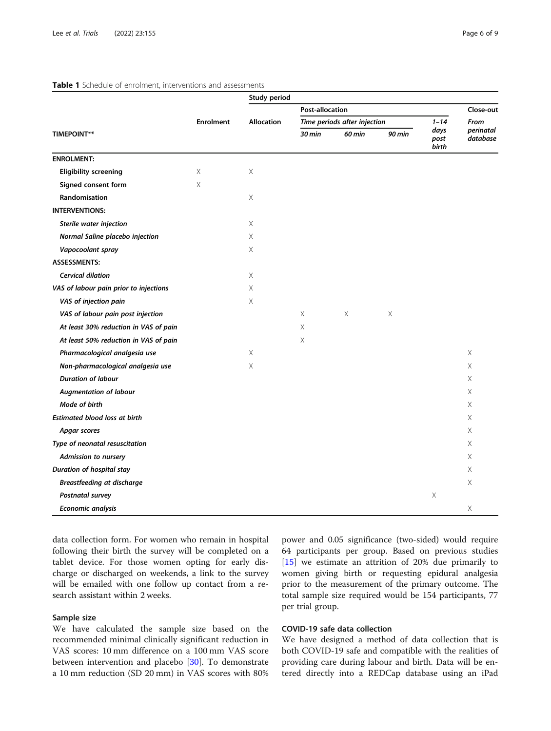|                                        | <b>Enrolment</b> | Study period      |                              |               |        |                       |                       |
|----------------------------------------|------------------|-------------------|------------------------------|---------------|--------|-----------------------|-----------------------|
|                                        |                  | <b>Allocation</b> | <b>Post-allocation</b>       |               |        |                       | Close-out             |
|                                        |                  |                   | Time periods after injection |               |        | $1 - 14$              | From                  |
| <b>TIMEPOINT**</b>                     |                  |                   | 30 min                       | <b>60 min</b> | 90 min | days<br>post<br>birth | perinatal<br>database |
| <b>ENROLMENT:</b>                      |                  |                   |                              |               |        |                       |                       |
| <b>Eligibility screening</b>           | $\times$         | $\times$          |                              |               |        |                       |                       |
| Signed consent form                    | X                |                   |                              |               |        |                       |                       |
| <b>Randomisation</b>                   |                  | X                 |                              |               |        |                       |                       |
| <b>INTERVENTIONS:</b>                  |                  |                   |                              |               |        |                       |                       |
| Sterile water injection                |                  | $\times$          |                              |               |        |                       |                       |
| Normal Saline placebo injection        |                  | X                 |                              |               |        |                       |                       |
| Vapocoolant spray                      |                  | $\times$          |                              |               |        |                       |                       |
| <b>ASSESSMENTS:</b>                    |                  |                   |                              |               |        |                       |                       |
| Cervical dilation                      |                  | X                 |                              |               |        |                       |                       |
| VAS of labour pain prior to injections |                  | $\times$          |                              |               |        |                       |                       |
| VAS of injection pain                  |                  | $\times$          |                              |               |        |                       |                       |
| VAS of labour pain post injection      |                  |                   | Χ                            | Χ             | Χ      |                       |                       |
| At least 30% reduction in VAS of pain  |                  |                   | X                            |               |        |                       |                       |
| At least 50% reduction in VAS of pain  |                  |                   | X                            |               |        |                       |                       |
| Pharmacological analgesia use          |                  | $\times$          |                              |               |        |                       | X                     |
| Non-pharmacological analgesia use      |                  | $\times$          |                              |               |        |                       | X                     |
| <b>Duration of labour</b>              |                  |                   |                              |               |        |                       | X                     |
| <b>Augmentation of labour</b>          |                  |                   |                              |               |        |                       | X                     |
| Mode of birth                          |                  |                   |                              |               |        |                       | X                     |
| <b>Estimated blood loss at birth</b>   |                  |                   |                              |               |        |                       | Χ                     |
| Apgar scores                           |                  |                   |                              |               |        |                       | Χ                     |
| Type of neonatal resuscitation         |                  |                   |                              |               |        |                       | X                     |
| <b>Admission to nursery</b>            |                  |                   |                              |               |        |                       | X                     |
| Duration of hospital stay              |                  |                   |                              |               |        |                       | X                     |
| <b>Breastfeeding at discharge</b>      |                  |                   |                              |               |        |                       | X                     |
| Postnatal survey                       |                  |                   |                              |               |        | X                     |                       |
| Economic analysis                      |                  |                   |                              |               |        |                       | X                     |

#### <span id="page-5-0"></span>Table 1 Schedule of enrolment, interventions and assessments

data collection form. For women who remain in hospital following their birth the survey will be completed on a tablet device. For those women opting for early discharge or discharged on weekends, a link to the survey will be emailed with one follow up contact from a research assistant within 2 weeks.

#### Sample size

We have calculated the sample size based on the recommended minimal clinically significant reduction in VAS scores: 10 mm difference on a 100 mm VAS score between intervention and placebo [\[30\]](#page-8-0). To demonstrate a 10 mm reduction (SD 20 mm) in VAS scores with 80% power and 0.05 significance (two-sided) would require 64 participants per group. Based on previous studies [[15\]](#page-8-0) we estimate an attrition of 20% due primarily to women giving birth or requesting epidural analgesia prior to the measurement of the primary outcome. The total sample size required would be 154 participants, 77 per trial group.

### COVID-19 safe data collection

We have designed a method of data collection that is both COVID-19 safe and compatible with the realities of providing care during labour and birth. Data will be entered directly into a REDCap database using an iPad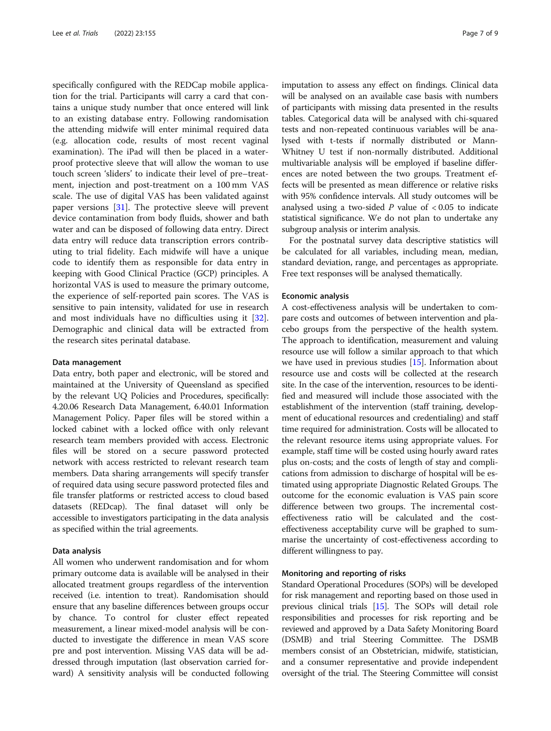specifically configured with the REDCap mobile application for the trial. Participants will carry a card that contains a unique study number that once entered will link to an existing database entry. Following randomisation the attending midwife will enter minimal required data (e.g. allocation code, results of most recent vaginal examination). The iPad will then be placed in a waterproof protective sleeve that will allow the woman to use touch screen 'sliders' to indicate their level of pre–treatment, injection and post-treatment on a 100 mm VAS scale. The use of digital VAS has been validated against paper versions [[31](#page-8-0)]. The protective sleeve will prevent device contamination from body fluids, shower and bath water and can be disposed of following data entry. Direct data entry will reduce data transcription errors contributing to trial fidelity. Each midwife will have a unique code to identify them as responsible for data entry in keeping with Good Clinical Practice (GCP) principles. A horizontal VAS is used to measure the primary outcome, the experience of self-reported pain scores. The VAS is sensitive to pain intensity, validated for use in research and most individuals have no difficulties using it [\[32](#page-8-0)]. Demographic and clinical data will be extracted from the research sites perinatal database.

#### Data management

Data entry, both paper and electronic, will be stored and maintained at the University of Queensland as specified by the relevant UQ Policies and Procedures, specifically: 4.20.06 Research Data Management, 6.40.01 Information Management Policy. Paper files will be stored within a locked cabinet with a locked office with only relevant research team members provided with access. Electronic files will be stored on a secure password protected network with access restricted to relevant research team members. Data sharing arrangements will specify transfer of required data using secure password protected files and file transfer platforms or restricted access to cloud based datasets (REDcap). The final dataset will only be accessible to investigators participating in the data analysis as specified within the trial agreements.

#### Data analysis

All women who underwent randomisation and for whom primary outcome data is available will be analysed in their allocated treatment groups regardless of the intervention received (i.e. intention to treat). Randomisation should ensure that any baseline differences between groups occur by chance. To control for cluster effect repeated measurement, a linear mixed-model analysis will be conducted to investigate the difference in mean VAS score pre and post intervention. Missing VAS data will be addressed through imputation (last observation carried forward) A sensitivity analysis will be conducted following imputation to assess any effect on findings. Clinical data will be analysed on an available case basis with numbers of participants with missing data presented in the results tables. Categorical data will be analysed with chi-squared tests and non-repeated continuous variables will be analysed with t-tests if normally distributed or Mann-Whitney U test if non-normally distributed. Additional multivariable analysis will be employed if baseline differences are noted between the two groups. Treatment effects will be presented as mean difference or relative risks with 95% confidence intervals. All study outcomes will be analysed using a two-sided  $P$  value of  $<0.05$  to indicate statistical significance. We do not plan to undertake any subgroup analysis or interim analysis.

For the postnatal survey data descriptive statistics will be calculated for all variables, including mean, median, standard deviation, range, and percentages as appropriate. Free text responses will be analysed thematically.

#### Economic analysis

A cost-effectiveness analysis will be undertaken to compare costs and outcomes of between intervention and placebo groups from the perspective of the health system. The approach to identification, measurement and valuing resource use will follow a similar approach to that which we have used in previous studies [[15](#page-8-0)]. Information about resource use and costs will be collected at the research site. In the case of the intervention, resources to be identified and measured will include those associated with the establishment of the intervention (staff training, development of educational resources and credentialing) and staff time required for administration. Costs will be allocated to the relevant resource items using appropriate values. For example, staff time will be costed using hourly award rates plus on-costs; and the costs of length of stay and complications from admission to discharge of hospital will be estimated using appropriate Diagnostic Related Groups. The outcome for the economic evaluation is VAS pain score difference between two groups. The incremental costeffectiveness ratio will be calculated and the costeffectiveness acceptability curve will be graphed to summarise the uncertainty of cost-effectiveness according to different willingness to pay.

#### Monitoring and reporting of risks

Standard Operational Procedures (SOPs) will be developed for risk management and reporting based on those used in previous clinical trials [\[15\]](#page-8-0). The SOPs will detail role responsibilities and processes for risk reporting and be reviewed and approved by a Data Safety Monitoring Board (DSMB) and trial Steering Committee. The DSMB members consist of an Obstetrician, midwife, statistician, and a consumer representative and provide independent oversight of the trial. The Steering Committee will consist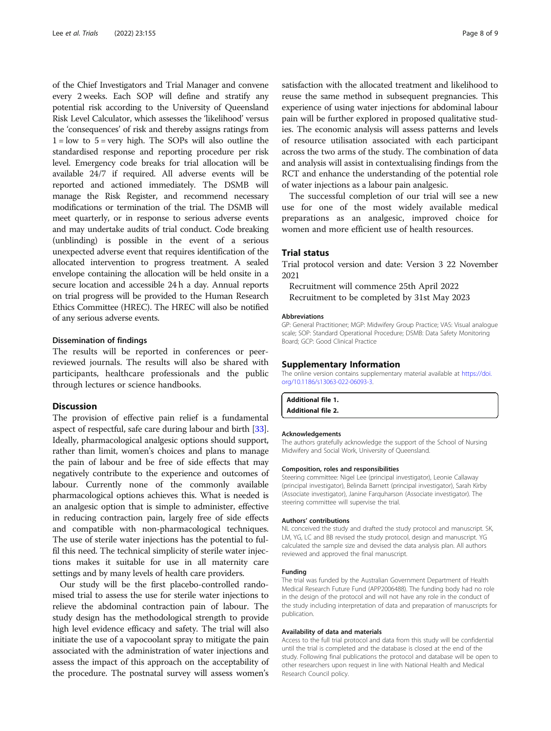of the Chief Investigators and Trial Manager and convene every 2 weeks. Each SOP will define and stratify any potential risk according to the University of Queensland Risk Level Calculator, which assesses the 'likelihood' versus the 'consequences' of risk and thereby assigns ratings from  $1 =$ low to  $5 =$ very high. The SOPs will also outline the standardised response and reporting procedure per risk level. Emergency code breaks for trial allocation will be available 24/7 if required. All adverse events will be reported and actioned immediately. The DSMB will manage the Risk Register, and recommend necessary modifications or termination of the trial. The DSMB will meet quarterly, or in response to serious adverse events and may undertake audits of trial conduct. Code breaking (unblinding) is possible in the event of a serious unexpected adverse event that requires identification of the allocated intervention to progress treatment. A sealed envelope containing the allocation will be held onsite in a secure location and accessible 24 h a day. Annual reports on trial progress will be provided to the Human Research Ethics Committee (HREC). The HREC will also be notified of any serious adverse events.

#### Dissemination of findings

The results will be reported in conferences or peerreviewed journals. The results will also be shared with participants, healthcare professionals and the public through lectures or science handbooks.

#### **Discussion**

The provision of effective pain relief is a fundamental aspect of respectful, safe care during labour and birth [[33](#page-8-0)]. Ideally, pharmacological analgesic options should support, rather than limit, women's choices and plans to manage the pain of labour and be free of side effects that may negatively contribute to the experience and outcomes of labour. Currently none of the commonly available pharmacological options achieves this. What is needed is an analgesic option that is simple to administer, effective in reducing contraction pain, largely free of side effects and compatible with non-pharmacological techniques. The use of sterile water injections has the potential to fulfil this need. The technical simplicity of sterile water injections makes it suitable for use in all maternity care settings and by many levels of health care providers.

Our study will be the first placebo-controlled randomised trial to assess the use for sterile water injections to relieve the abdominal contraction pain of labour. The study design has the methodological strength to provide high level evidence efficacy and safety. The trial will also initiate the use of a vapocoolant spray to mitigate the pain associated with the administration of water injections and assess the impact of this approach on the acceptability of the procedure. The postnatal survey will assess women's

satisfaction with the allocated treatment and likelihood to reuse the same method in subsequent pregnancies. This experience of using water injections for abdominal labour pain will be further explored in proposed qualitative studies. The economic analysis will assess patterns and levels of resource utilisation associated with each participant across the two arms of the study. The combination of data and analysis will assist in contextualising findings from the RCT and enhance the understanding of the potential role of water injections as a labour pain analgesic.

The successful completion of our trial will see a new use for one of the most widely available medical preparations as an analgesic, improved choice for women and more efficient use of health resources.

#### Trial status

Trial protocol version and date: Version 3 22 November 2021

Recruitment will commence 25th April 2022 Recruitment to be completed by 31st May 2023

#### Abbreviations

GP: General Practitioner; MGP: Midwifery Group Practice; VAS: Visual analogue scale; SOP: Standard Operational Procedure; DSMB: Data Safety Monitoring Board; GCP: Good Clinical Practice

#### Supplementary Information

The online version contains supplementary material available at [https://doi.](https://doi.org/10.1186/s13063-022-06093-3) [org/10.1186/s13063-022-06093-3.](https://doi.org/10.1186/s13063-022-06093-3)

| Additional file 1. |  |
|--------------------|--|
| Additional file 2. |  |

#### Acknowledgements

The authors gratefully acknowledge the support of the School of Nursing Midwifery and Social Work, University of Queensland.

#### Composition, roles and responsibilities

Steering committee: Nigel Lee (principal investigator), Leonie Callaway (principal investigator), Belinda Barnett (principal investigator), Sarah Kirby (Associate investigator), Janine Farquharson (Associate investigator). The steering committee will supervise the trial.

#### Authors' contributions

NL conceived the study and drafted the study protocol and manuscript. SK, LM, YG, LC and BB revised the study protocol, design and manuscript. YG calculated the sample size and devised the data analysis plan. All authors reviewed and approved the final manuscript.

#### Funding

The trial was funded by the Australian Government Department of Health Medical Research Future Fund (APP2006488). The funding body had no role in the design of the protocol and will not have any role in the conduct of the study including interpretation of data and preparation of manuscripts for publication.

#### Availability of data and materials

Access to the full trial protocol and data from this study will be confidential until the trial is completed and the database is closed at the end of the study. Following final publications the protocol and database will be open to other researchers upon request in line with National Health and Medical Research Council policy.